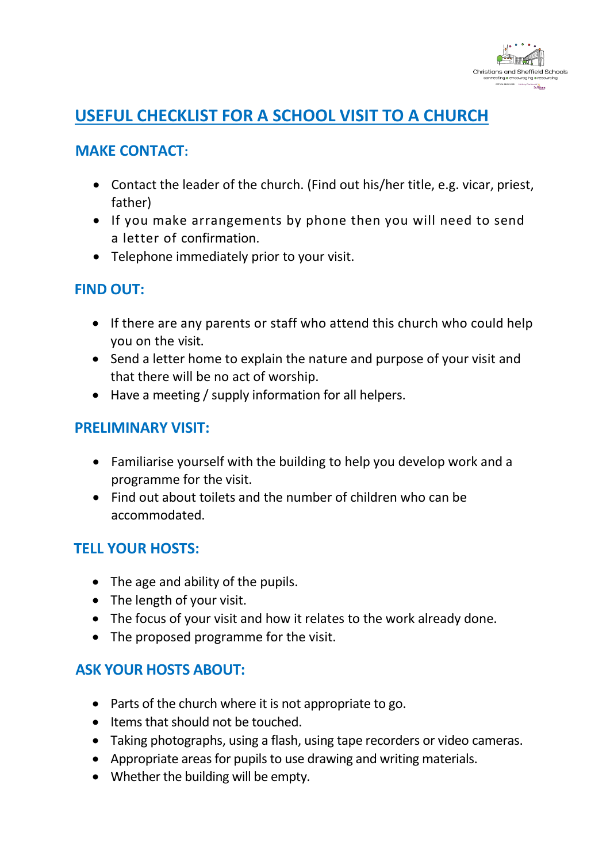

# **USEFUL CHECKLIST FOR A SCHOOL VISIT TO A CHURCH**

#### **MAKE CONTACT:**

- Contact the leader of the church. (Find out his/her title, e.g. vicar, priest, father)
- If you make arrangements by phone then you will need to send a letter of confirmation.
- Telephone immediately prior to your visit.

## **FIND OUT:**

- If there are any parents or staff who attend this church who could help you on the visit.
- Send a letter home to explain the nature and purpose of your visit and that there will be no act of worship.
- Have a meeting / supply information for all helpers.

#### **PRELIMINARY VISIT:**

- Familiarise yourself with the building to help you develop work and a programme for the visit.
- Find out about toilets and the number of children who can be accommodated.

## **TELL YOUR HOSTS:**

- The age and ability of the pupils.
- The length of your visit.
- The focus of your visit and how it relates to the work already done.
- The proposed programme for the visit.

## **ASK YOUR HOSTS ABOUT:**

- Parts of the church where it is not appropriate to go.
- Items that should not be touched.
- Taking photographs, using a flash, using tape recorders or video cameras.
- Appropriate areas for pupils to use drawing and writing materials.
- Whether the building will be empty.